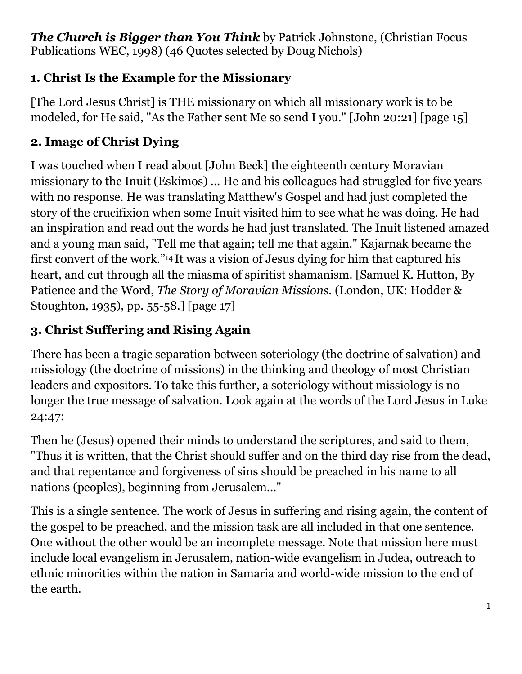*The Church is Bigger than You Think* by Patrick Johnstone, (Christian Focus Publications WEC, 1998) (46 Quotes selected by Doug Nichols)

## **1. Christ Is the Example for the Missionary**

[The Lord Jesus Christ] is THE missionary on which all missionary work is to be modeled, for He said, "As the Father sent Me so send I you." [John 20:21] [page 15]

#### **2. Image of Christ Dying**

I was touched when I read about [John Beck] the eighteenth century Moravian missionary to the Inuit (Eskimos) ... He and his colleagues had struggled for five years with no response. He was translating Matthew's Gospel and had just completed the story of the crucifixion when some Inuit visited him to see what he was doing. He had an inspiration and read out the words he had just translated. The Inuit listened amazed and a young man said, "Tell me that again; tell me that again." Kajarnak became the first convert of the work."14 It was a vision of Jesus dying for him that captured his heart, and cut through all the miasma of spiritist shamanism. [Samuel K. Hutton, By Patience and the Word, *The Story of Moravian Missions*. (London, UK: Hodder & Stoughton, 1935), pp. 55-58.] [page 17]

## **3. Christ Suffering and Rising Again**

There has been a tragic separation between soteriology (the doctrine of salvation) and missiology (the doctrine of missions) in the thinking and theology of most Christian leaders and expositors. To take this further, a soteriology without missiology is no longer the true message of salvation. Look again at the words of the Lord Jesus in Luke 24:47:

Then he (Jesus) opened their minds to understand the scriptures, and said to them, "Thus it is written, that the Christ should suffer and on the third day rise from the dead, and that repentance and forgiveness of sins should be preached in his name to all nations (peoples), beginning from Jerusalem..."

This is a single sentence. The work of Jesus in suffering and rising again, the content of the gospel to be preached, and the mission task are all included in that one sentence. One without the other would be an incomplete message. Note that mission here must include local evangelism in Jerusalem, nation-wide evangelism in Judea, outreach to ethnic minorities within the nation in Samaria and world-wide mission to the end of the earth.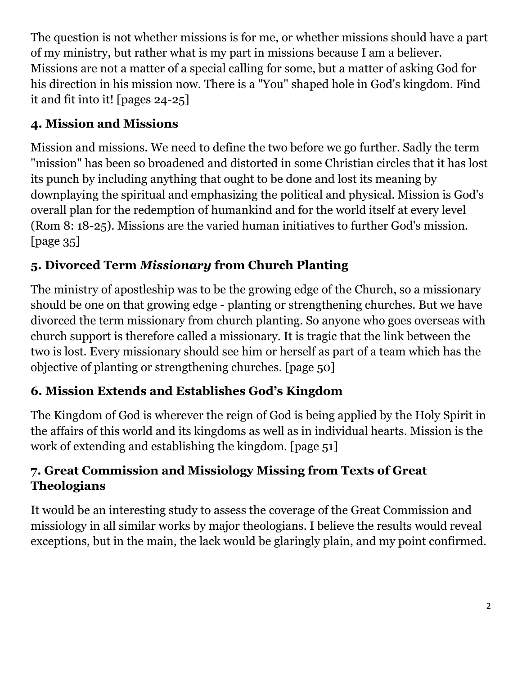The question is not whether missions is for me, or whether missions should have a part of my ministry, but rather what is my part in missions because I am a believer. Missions are not a matter of a special calling for some, but a matter of asking God for his direction in his mission now. There is a "You" shaped hole in God's kingdom. Find it and fit into it! [pages 24-25]

## **4. Mission and Missions**

Mission and missions. We need to define the two before we go further. Sadly the term "mission" has been so broadened and distorted in some Christian circles that it has lost its punch by including anything that ought to be done and lost its meaning by downplaying the spiritual and emphasizing the political and physical. Mission is God's overall plan for the redemption of humankind and for the world itself at every level (Rom 8: 18-25). Missions are the varied human initiatives to further God's mission. [page 35]

# **5. Divorced Term** *Missionary* **from Church Planting**

The ministry of apostleship was to be the growing edge of the Church, so a missionary should be one on that growing edge - planting or strengthening churches. But we have divorced the term missionary from church planting. So anyone who goes overseas with church support is therefore called a missionary. It is tragic that the link between the two is lost. Every missionary should see him or herself as part of a team which has the objective of planting or strengthening churches. [page 50]

# **6. Mission Extends and Establishes God's Kingdom**

The Kingdom of God is wherever the reign of God is being applied by the Holy Spirit in the affairs of this world and its kingdoms as well as in individual hearts. Mission is the work of extending and establishing the kingdom. [page 51]

## **7. Great Commission and Missiology Missing from Texts of Great Theologians**

It would be an interesting study to assess the coverage of the Great Commission and missiology in all similar works by major theologians. I believe the results would reveal exceptions, but in the main, the lack would be glaringly plain, and my point confirmed.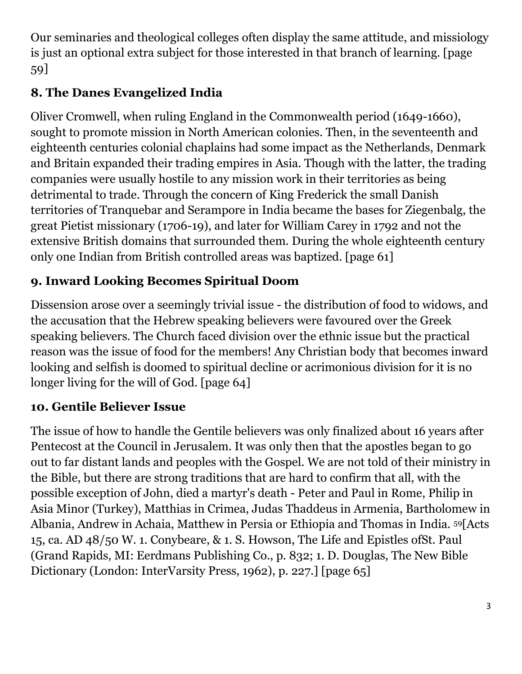Our seminaries and theological colleges often display the same attitude, and missiology is just an optional extra subject for those interested in that branch of learning. [page 59]

## **8. The Danes Evangelized India**

Oliver Cromwell, when ruling England in the Commonwealth period (1649-1660), sought to promote mission in North American colonies. Then, in the seventeenth and eighteenth centuries colonial chaplains had some impact as the Netherlands, Denmark and Britain expanded their trading empires in Asia. Though with the latter, the trading companies were usually hostile to any mission work in their territories as being detrimental to trade. Through the concern of King Frederick the small Danish territories of Tranquebar and Serampore in India became the bases for Ziegenbalg, the great Pietist missionary (1706-19), and later for William Carey in 1792 and not the extensive British domains that surrounded them. During the whole eighteenth century only one Indian from British controlled areas was baptized. [page 61]

## **9. Inward Looking Becomes Spiritual Doom**

Dissension arose over a seemingly trivial issue - the distribution of food to widows, and the accusation that the Hebrew speaking believers were favoured over the Greek speaking believers. The Church faced division over the ethnic issue but the practical reason was the issue of food for the members! Any Christian body that becomes inward looking and selfish is doomed to spiritual decline or acrimonious division for it is no longer living for the will of God. [page 64]

#### **10. Gentile Believer Issue**

The issue of how to handle the Gentile believers was only finalized about 16 years after Pentecost at the Council in Jerusalem. It was only then that the apostles began to go out to far distant lands and peoples with the Gospel. We are not told of their ministry in the Bible, but there are strong traditions that are hard to confirm that all, with the possible exception of John, died a martyr's death - Peter and Paul in Rome, Philip in Asia Minor (Turkey), Matthias in Crimea, Judas Thaddeus in Armenia, Bartholomew in Albania, Andrew in Achaia, Matthew in Persia or Ethiopia and Thomas in India. 59[Acts 15, ca. AD 48/50 W. 1. Conybeare, & 1. S. Howson, The Life and Epistles ofSt. Paul (Grand Rapids, MI: Eerdmans Publishing Co., p. 832; 1. D. Douglas, The New Bible Dictionary (London: InterVarsity Press, 1962), p. 227.] [page 65]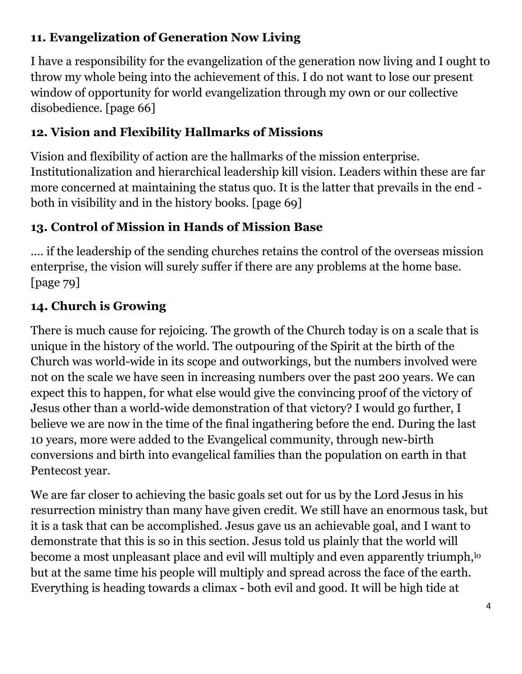#### **11. Evangelization of Generation Now Living**

I have a responsibility for the evangelization of the generation now living and I ought to throw my whole being into the achievement of this. I do not want to lose our present window of opportunity for world evangelization through my own or our collective disobedience. [page 66]

## **12. Vision and Flexibility Hallmarks of Missions**

Vision and flexibility of action are the hallmarks of the mission enterprise. Institutionalization and hierarchical leadership kill vision. Leaders within these are far more concerned at maintaining the status quo. It is the latter that prevails in the end both in visibility and in the history books. [page 69]

## **13. Control of Mission in Hands of Mission Base**

.... if the leadership of the sending churches retains the control of the overseas mission enterprise, the vision will surely suffer if there are any problems at the home base. [page 79]

## **14. Church is Growing**

There is much cause for rejoicing. The growth of the Church today is on a scale that is unique in the history of the world. The outpouring of the Spirit at the birth of the Church was world-wide in its scope and outworkings, but the numbers involved were not on the scale we have seen in increasing numbers over the past 200 years. We can expect this to happen, for what else would give the convincing proof of the victory of Jesus other than a world-wide demonstration of that victory? I would go further, I believe we are now in the time of the final ingathering before the end. During the last 10 years, more were added to the Evangelical community, through new-birth conversions and birth into evangelical families than the population on earth in that Pentecost year.

We are far closer to achieving the basic goals set out for us by the Lord Jesus in his resurrection ministry than many have given credit. We still have an enormous task, but it is a task that can be accomplished. Jesus gave us an achievable goal, and I want to demonstrate that this is so in this section. Jesus told us plainly that the world will become a most unpleasant place and evil will multiply and even apparently triumph, <sup>lo</sup> but at the same time his people will multiply and spread across the face of the earth. Everything is heading towards a climax - both evil and good. It will be high tide at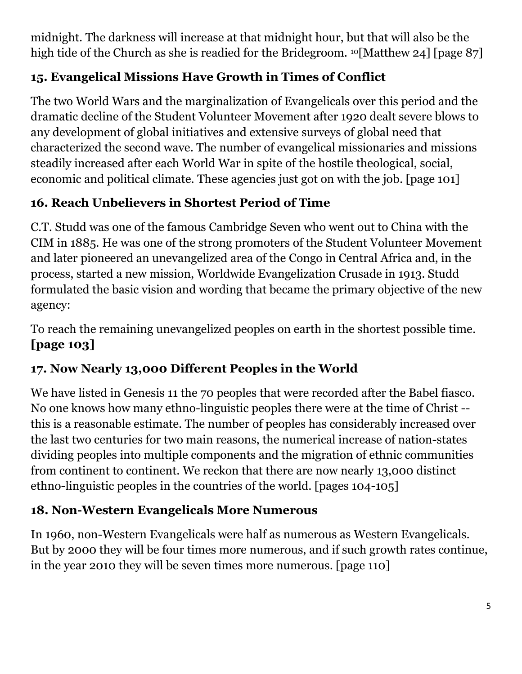midnight. The darkness will increase at that midnight hour, but that will also be the high tide of the Church as she is readied for the Bridegroom. <sup>10</sup>[Matthew 24] [page 87]

## **15. Evangelical Missions Have Growth in Times of Conflict**

The two World Wars and the marginalization of Evangelicals over this period and the dramatic decline of the Student Volunteer Movement after 1920 dealt severe blows to any development of global initiatives and extensive surveys of global need that characterized the second wave. The number of evangelical missionaries and missions steadily increased after each World War in spite of the hostile theological, social, economic and political climate. These agencies just got on with the job. [page 101]

## **16. Reach Unbelievers in Shortest Period of Time**

C.T. Studd was one of the famous Cambridge Seven who went out to China with the CIM in 1885. He was one of the strong promoters of the Student Volunteer Movement and later pioneered an unevangelized area of the Congo in Central Africa and, in the process, started a new mission, Worldwide Evangelization Crusade in 1913. Studd formulated the basic vision and wording that became the primary objective of the new agency:

To reach the remaining unevangelized peoples on earth in the shortest possible time. **[page 103]** 

## **17. Now Nearly 13,000 Different Peoples in the World**

We have listed in Genesis 11 the 70 peoples that were recorded after the Babel fiasco. No one knows how many ethno-linguistic peoples there were at the time of Christ - this is a reasonable estimate. The number of peoples has considerably increased over the last two centuries for two main reasons, the numerical increase of nation-states dividing peoples into multiple components and the migration of ethnic communities from continent to continent. We reckon that there are now nearly 13,000 distinct ethno-linguistic peoples in the countries of the world. [pages 104-105]

#### **18. Non-Western Evangelicals More Numerous**

In 1960, non-Western Evangelicals were half as numerous as Western Evangelicals. But by 2000 they will be four times more numerous, and if such growth rates continue, in the year 2010 they will be seven times more numerous. [page 110]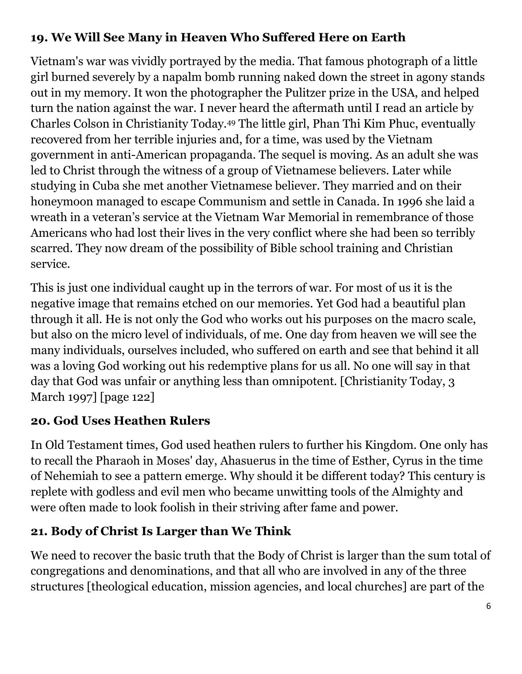#### **19. We Will See Many in Heaven Who Suffered Here on Earth**

Vietnam's war was vividly portrayed by the media. That famous photograph of a little girl burned severely by a napalm bomb running naked down the street in agony stands out in my memory. It won the photographer the Pulitzer prize in the USA, and helped turn the nation against the war. I never heard the aftermath until I read an article by Charles Colson in Christianity Today.<sup>49</sup> The little girl, Phan Thi Kim Phuc, eventually recovered from her terrible injuries and, for a time, was used by the Vietnam government in anti-American propaganda. The sequel is moving. As an adult she was led to Christ through the witness of a group of Vietnamese believers. Later while studying in Cuba she met another Vietnamese believer. They married and on their honeymoon managed to escape Communism and settle in Canada. In 1996 she laid a wreath in a veteran's service at the Vietnam War Memorial in remembrance of those Americans who had lost their lives in the very conflict where she had been so terribly scarred. They now dream of the possibility of Bible school training and Christian service.

This is just one individual caught up in the terrors of war. For most of us it is the negative image that remains etched on our memories. Yet God had a beautiful plan through it all. He is not only the God who works out his purposes on the macro scale, but also on the micro level of individuals, of me. One day from heaven we will see the many individuals, ourselves included, who suffered on earth and see that behind it all was a loving God working out his redemptive plans for us all. No one will say in that day that God was unfair or anything less than omnipotent. [Christianity Today, 3 March 1997] [page 122]

#### **20. God Uses Heathen Rulers**

In Old Testament times, God used heathen rulers to further his Kingdom. One only has to recall the Pharaoh in Moses' day, Ahasuerus in the time of Esther, Cyrus in the time of Nehemiah to see a pattern emerge. Why should it be different today? This century is replete with godless and evil men who became unwitting tools of the Almighty and were often made to look foolish in their striving after fame and power.

#### **21. Body of Christ Is Larger than We Think**

We need to recover the basic truth that the Body of Christ is larger than the sum total of congregations and denominations, and that all who are involved in any of the three structures [theological education, mission agencies, and local churches] are part of the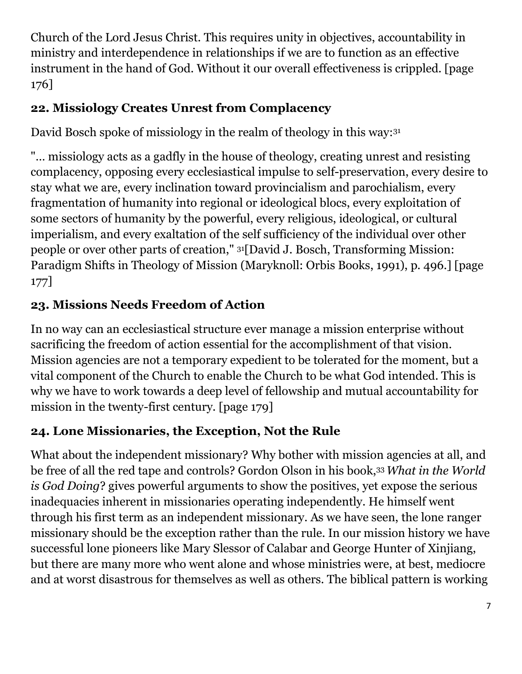Church of the Lord Jesus Christ. This requires unity in objectives, accountability in ministry and interdependence in relationships if we are to function as an effective instrument in the hand of God. Without it our overall effectiveness is crippled. [page 176]

## **22. Missiology Creates Unrest from Complacency**

David Bosch spoke of missiology in the realm of theology in this way: 31

"… missiology acts as a gadfly in the house of theology, creating unrest and resisting complacency, opposing every ecclesiastical impulse to self-preservation, every desire to stay what we are, every inclination toward provincialism and parochialism, every fragmentation of humanity into regional or ideological blocs, every exploitation of some sectors of humanity by the powerful, every religious, ideological, or cultural imperialism, and every exaltation of the self sufficiency of the individual over other people or over other parts of creation," 31[David J. Bosch, Transforming Mission: Paradigm Shifts in Theology of Mission (Maryknoll: Orbis Books, 1991), p. 496.] [page 177]

# **23. Missions Needs Freedom of Action**

In no way can an ecclesiastical structure ever manage a mission enterprise without sacrificing the freedom of action essential for the accomplishment of that vision. Mission agencies are not a temporary expedient to be tolerated for the moment, but a vital component of the Church to enable the Church to be what God intended. This is why we have to work towards a deep level of fellowship and mutual accountability for mission in the twenty-first century. [page 179]

# **24. Lone Missionaries, the Exception, Not the Rule**

What about the independent missionary? Why bother with mission agencies at all, and be free of all the red tape and controls? Gordon Olson in his book,33 *What in the World is God Doing*? gives powerful arguments to show the positives, yet expose the serious inadequacies inherent in missionaries operating independently. He himself went through his first term as an independent missionary. As we have seen, the lone ranger missionary should be the exception rather than the rule. In our mission history we have successful lone pioneers like Mary Slessor of Calabar and George Hunter of Xinjiang, but there are many more who went alone and whose ministries were, at best, mediocre and at worst disastrous for themselves as well as others. The biblical pattern is working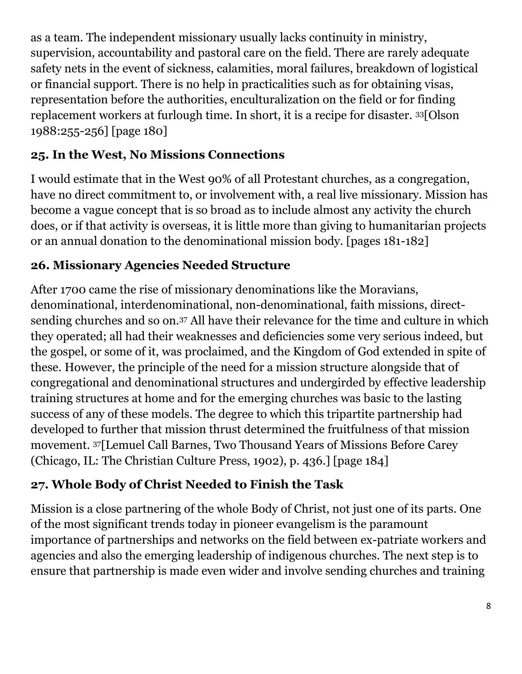as a team. The independent missionary usually lacks continuity in ministry, supervision, accountability and pastoral care on the field. There are rarely adequate safety nets in the event of sickness, calamities, moral failures, breakdown of logistical or financial support. There is no help in practicalities such as for obtaining visas, representation before the authorities, enculturalization on the field or for finding replacement workers at furlough time. In short, it is a recipe for disaster. 33[Olson 1988:255-256] [page 180]

## **25. In the West, No Missions Connections**

I would estimate that in the West 90% of all Protestant churches, as a congregation, have no direct commitment to, or involvement with, a real live missionary. Mission has become a vague concept that is so broad as to include almost any activity the church does, or if that activity is overseas, it is little more than giving to humanitarian projects or an annual donation to the denominational mission body. [pages 181-182]

## **26. Missionary Agencies Needed Structure**

After 1700 came the rise of missionary denominations like the Moravians, denominational, interdenominational, non-denominational, faith missions, directsending churches and so on.<sup>37</sup> All have their relevance for the time and culture in which they operated; all had their weaknesses and deficiencies some very serious indeed, but the gospel, or some of it, was proclaimed, and the Kingdom of God extended in spite of these. However, the principle of the need for a mission structure alongside that of congregational and denominational structures and undergirded by effective leadership training structures at home and for the emerging churches was basic to the lasting success of any of these models. The degree to which this tripartite partnership had developed to further that mission thrust determined the fruitfulness of that mission movement. 37[Lemuel Call Barnes, Two Thousand Years of Missions Before Carey (Chicago, IL: The Christian Culture Press, 1902), p. 436.] [page 184]

## **27. Whole Body of Christ Needed to Finish the Task**

Mission is a close partnering of the whole Body of Christ, not just one of its parts. One of the most significant trends today in pioneer evangelism is the paramount importance of partnerships and networks on the field between ex-patriate workers and agencies and also the emerging leadership of indigenous churches. The next step is to ensure that partnership is made even wider and involve sending churches and training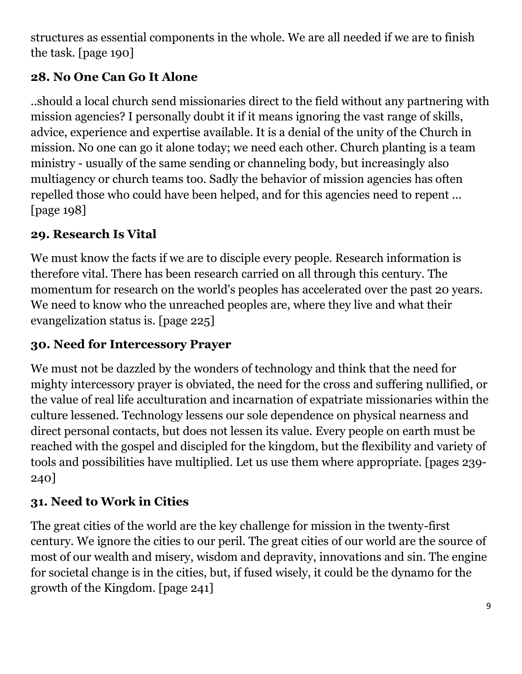structures as essential components in the whole. We are all needed if we are to finish the task. [page 190]

## **28. No One Can Go It Alone**

..should a local church send missionaries direct to the field without any partnering with mission agencies? I personally doubt it if it means ignoring the vast range of skills, advice, experience and expertise available. It is a denial of the unity of the Church in mission. No one can go it alone today; we need each other. Church planting is a team ministry - usually of the same sending or channeling body, but increasingly also multiagency or church teams too. Sadly the behavior of mission agencies has often repelled those who could have been helped, and for this agencies need to repent ... [page 198]

## **29. Research Is Vital**

We must know the facts if we are to disciple every people. Research information is therefore vital. There has been research carried on all through this century. The momentum for research on the world's peoples has accelerated over the past 20 years. We need to know who the unreached peoples are, where they live and what their evangelization status is. [page 225]

# **30. Need for Intercessory Prayer**

We must not be dazzled by the wonders of technology and think that the need for mighty intercessory prayer is obviated, the need for the cross and suffering nullified, or the value of real life acculturation and incarnation of expatriate missionaries within the culture lessened. Technology lessens our sole dependence on physical nearness and direct personal contacts, but does not lessen its value. Every people on earth must be reached with the gospel and discipled for the kingdom, but the flexibility and variety of tools and possibilities have multiplied. Let us use them where appropriate. [pages 239- 240]

## **31. Need to Work in Cities**

The great cities of the world are the key challenge for mission in the twenty-first century. We ignore the cities to our peril. The great cities of our world are the source of most of our wealth and misery, wisdom and depravity, innovations and sin. The engine for societal change is in the cities, but, if fused wisely, it could be the dynamo for the growth of the Kingdom. [page 241]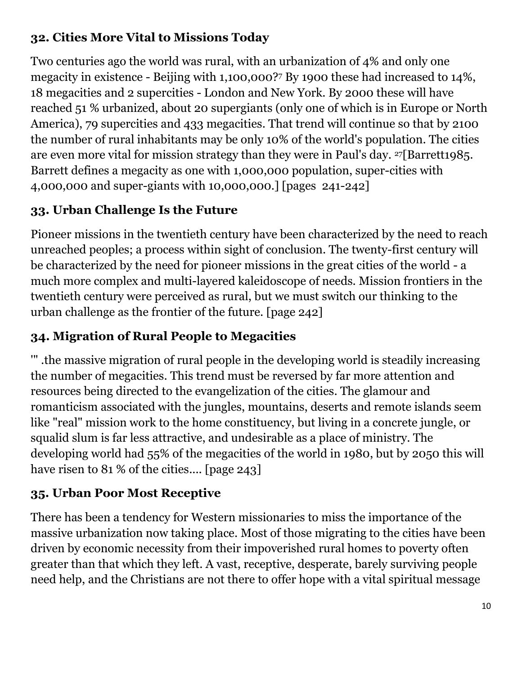#### **32. Cities More Vital to Missions Today**

Two centuries ago the world was rural, with an urbanization of 4% and only one megacity in existence - Beijing with 1,100,000?<sup>7</sup> By 1900 these had increased to 14%, 18 megacities and 2 supercities - London and New York. By 2000 these will have reached 51 % urbanized, about 20 supergiants (only one of which is in Europe or North America), 79 supercities and 433 megacities. That trend will continue so that by 2100 the number of rural inhabitants may be only 10% of the world's population. The cities are even more vital for mission strategy than they were in Paul's day. 27[Barrett1985. Barrett defines a megacity as one with 1,000,000 population, super-cities with 4,000,000 and super-giants with 10,000,000.] [pages 241-242]

## **33. Urban Challenge Is the Future**

Pioneer missions in the twentieth century have been characterized by the need to reach unreached peoples; a process within sight of conclusion. The twenty-first century will be characterized by the need for pioneer missions in the great cities of the world - a much more complex and multi-layered kaleidoscope of needs. Mission frontiers in the twentieth century were perceived as rural, but we must switch our thinking to the urban challenge as the frontier of the future. [page 242]

## **34. Migration of Rural People to Megacities**

'" .the massive migration of rural people in the developing world is steadily increasing the number of megacities. This trend must be reversed by far more attention and resources being directed to the evangelization of the cities. The glamour and romanticism associated with the jungles, mountains, deserts and remote islands seem like "real" mission work to the home constituency, but living in a concrete jungle, or squalid slum is far less attractive, and undesirable as a place of ministry. The developing world had 55% of the megacities of the world in 1980, but by 2050 this will have risen to 81 % of the cities.... [page 243]

#### **35. Urban Poor Most Receptive**

There has been a tendency for Western missionaries to miss the importance of the massive urbanization now taking place. Most of those migrating to the cities have been driven by economic necessity from their impoverished rural homes to poverty often greater than that which they left. A vast, receptive, desperate, barely surviving people need help, and the Christians are not there to offer hope with a vital spiritual message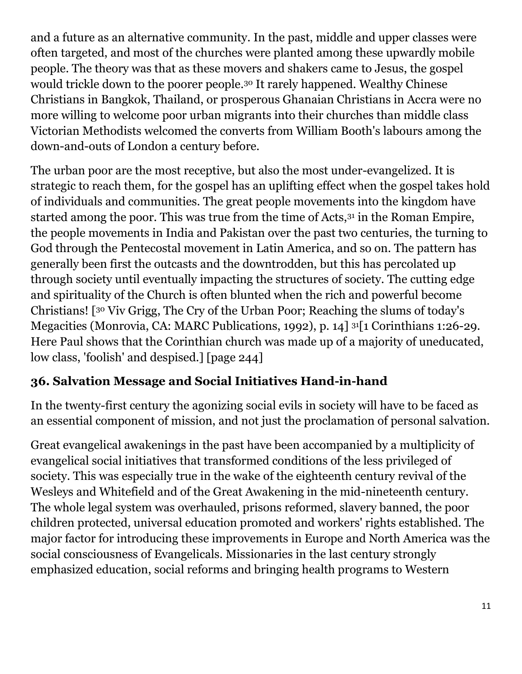and a future as an alternative community. In the past, middle and upper classes were often targeted, and most of the churches were planted among these upwardly mobile people. The theory was that as these movers and shakers came to Jesus, the gospel would trickle down to the poorer people.<sup>30</sup> It rarely happened. Wealthy Chinese Christians in Bangkok, Thailand, or prosperous Ghanaian Christians in Accra were no more willing to welcome poor urban migrants into their churches than middle class Victorian Methodists welcomed the converts from William Booth's labours among the down-and-outs of London a century before.

The urban poor are the most receptive, but also the most under-evangelized. It is strategic to reach them, for the gospel has an uplifting effect when the gospel takes hold of individuals and communities. The great people movements into the kingdom have started among the poor. This was true from the time of Acts,<sup>31</sup> in the Roman Empire, the people movements in India and Pakistan over the past two centuries, the turning to God through the Pentecostal movement in Latin America, and so on. The pattern has generally been first the outcasts and the downtrodden, but this has percolated up through society until eventually impacting the structures of society. The cutting edge and spirituality of the Church is often blunted when the rich and powerful become Christians! [<sup>30</sup> Viv Grigg, The Cry of the Urban Poor; Reaching the slums of today's Megacities (Monrovia, CA: MARC Publications, 1992), p. 14] 31[1 Corinthians 1:26-29. Here Paul shows that the Corinthian church was made up of a majority of uneducated, low class, 'foolish' and despised.] [page 244]

#### **36. Salvation Message and Social Initiatives Hand-in-hand**

In the twenty-first century the agonizing social evils in society will have to be faced as an essential component of mission, and not just the proclamation of personal salvation.

Great evangelical awakenings in the past have been accompanied by a multiplicity of evangelical social initiatives that transformed conditions of the less privileged of society. This was especially true in the wake of the eighteenth century revival of the Wesleys and Whitefield and of the Great Awakening in the mid-nineteenth century. The whole legal system was overhauled, prisons reformed, slavery banned, the poor children protected, universal education promoted and workers' rights established. The major factor for introducing these improvements in Europe and North America was the social consciousness of Evangelicals. Missionaries in the last century strongly emphasized education, social reforms and bringing health programs to Western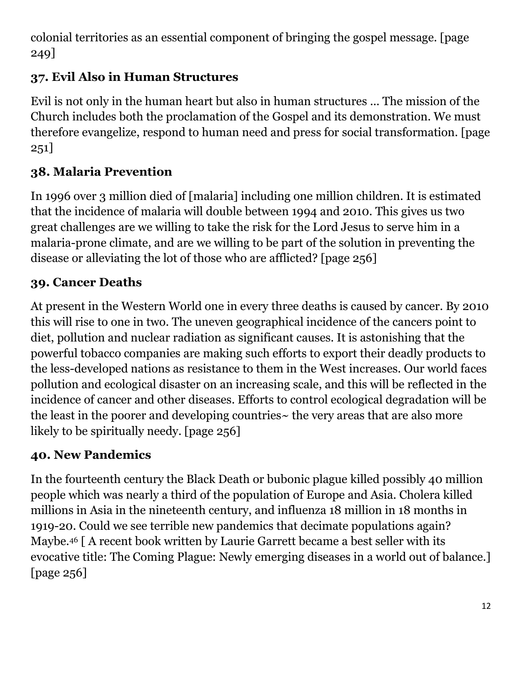colonial territories as an essential component of bringing the gospel message. [page 249]

## **37. Evil Also in Human Structures**

Evil is not only in the human heart but also in human structures ... The mission of the Church includes both the proclamation of the Gospel and its demonstration. We must therefore evangelize, respond to human need and press for social transformation. [page 251]

# **38. Malaria Prevention**

In 1996 over 3 million died of [malaria] including one million children. It is estimated that the incidence of malaria will double between 1994 and 2010. This gives us two great challenges are we willing to take the risk for the Lord Jesus to serve him in a malaria-prone climate, and are we willing to be part of the solution in preventing the disease or alleviating the lot of those who are afflicted? [page 256]

## **39. Cancer Deaths**

At present in the Western World one in every three deaths is caused by cancer. By 2010 this will rise to one in two. The uneven geographical incidence of the cancers point to diet, pollution and nuclear radiation as significant causes. It is astonishing that the powerful tobacco companies are making such efforts to export their deadly products to the less-developed nations as resistance to them in the West increases. Our world faces pollution and ecological disaster on an increasing scale, and this will be reflected in the incidence of cancer and other diseases. Efforts to control ecological degradation will be the least in the poorer and developing countries~ the very areas that are also more likely to be spiritually needy. [page 256]

## **40. New Pandemics**

In the fourteenth century the Black Death or bubonic plague killed possibly 40 million people which was nearly a third of the population of Europe and Asia. Cholera killed millions in Asia in the nineteenth century, and influenza 18 million in 18 months in 1919-20. Could we see terrible new pandemics that decimate populations again? Maybe.<sup>46</sup> [ A recent book written by Laurie Garrett became a best seller with its evocative title: The Coming Plague: Newly emerging diseases in a world out of balance.] [page 256]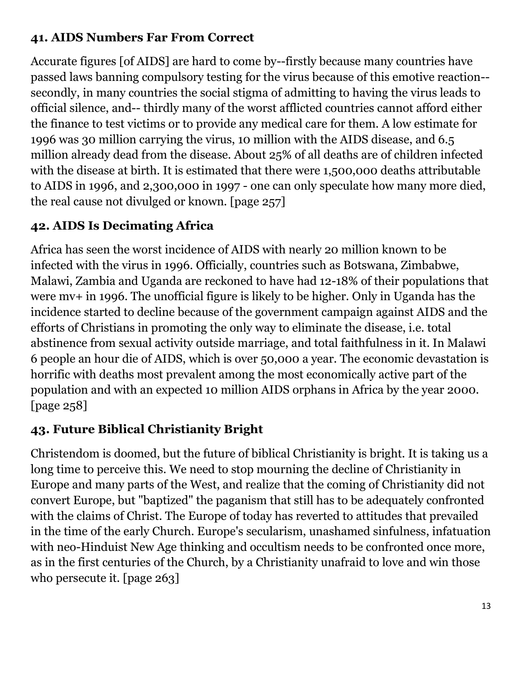#### **41. AIDS Numbers Far From Correct**

Accurate figures [of AIDS] are hard to come by--firstly because many countries have passed laws banning compulsory testing for the virus because of this emotive reaction- secondly, in many countries the social stigma of admitting to having the virus leads to official silence, and-- thirdly many of the worst afflicted countries cannot afford either the finance to test victims or to provide any medical care for them. A low estimate for 1996 was 30 million carrying the virus, 10 million with the AIDS disease, and 6.5 million already dead from the disease. About 25% of all deaths are of children infected with the disease at birth. It is estimated that there were 1,500,000 deaths attributable to AIDS in 1996, and 2,300,000 in 1997 - one can only speculate how many more died, the real cause not divulged or known. [page 257]

## **42. AIDS Is Decimating Africa**

Africa has seen the worst incidence of AIDS with nearly 20 million known to be infected with the virus in 1996. Officially, countries such as Botswana, Zimbabwe, Malawi, Zambia and Uganda are reckoned to have had 12-18% of their populations that were mv+ in 1996. The unofficial figure is likely to be higher. Only in Uganda has the incidence started to decline because of the government campaign against AIDS and the efforts of Christians in promoting the only way to eliminate the disease, i.e. total abstinence from sexual activity outside marriage, and total faithfulness in it. In Malawi 6 people an hour die of AIDS, which is over 50,000 a year. The economic devastation is horrific with deaths most prevalent among the most economically active part of the population and with an expected 10 million AIDS orphans in Africa by the year 2000. [page 258]

## **43. Future Biblical Christianity Bright**

Christendom is doomed, but the future of biblical Christianity is bright. It is taking us a long time to perceive this. We need to stop mourning the decline of Christianity in Europe and many parts of the West, and realize that the coming of Christianity did not convert Europe, but "baptized" the paganism that still has to be adequately confronted with the claims of Christ. The Europe of today has reverted to attitudes that prevailed in the time of the early Church. Europe's secularism, unashamed sinfulness, infatuation with neo-Hinduist New Age thinking and occultism needs to be confronted once more, as in the first centuries of the Church, by a Christianity unafraid to love and win those who persecute it. [page 263]